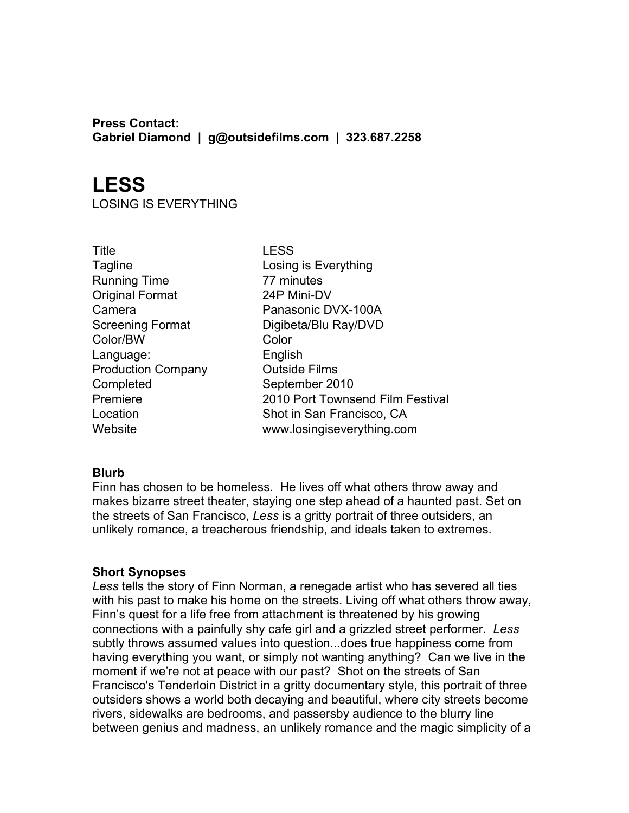**Press Contact: Gabriel Diamond | g@outsidefilms.com | 323.687.2258**

# **LESS**

LOSING IS EVERYTHING

Title LESS Tagline Losing is Everything Running Time 77 minutes Original Format 24P Mini-DV Color/BW Color Language: English Production Company **Canadia** Outside Films Completed September 2010

Camera **Panasonic DVX-100A** Screening Format Digibeta/Blu Ray/DVD Premiere 2010 Port Townsend Film Festival Location Shot in San Francisco, CA Website www.losingiseverything.com

# **Blurb**

Finn has chosen to be homeless. He lives off what others throw away and makes bizarre street theater, staying one step ahead of a haunted past. Set on the streets of San Francisco, *Less* is a gritty portrait of three outsiders, an unlikely romance, a treacherous friendship, and ideals taken to extremes.

# **Short Synopses**

*Less* tells the story of Finn Norman, a renegade artist who has severed all ties with his past to make his home on the streets. Living off what others throw away, Finn's quest for a life free from attachment is threatened by his growing connections with a painfully shy cafe girl and a grizzled street performer. *Less* subtly throws assumed values into question...does true happiness come from having everything you want, or simply not wanting anything? Can we live in the moment if we're not at peace with our past? Shot on the streets of San Francisco's Tenderloin District in a gritty documentary style, this portrait of three outsiders shows a world both decaying and beautiful, where city streets become rivers, sidewalks are bedrooms, and passersby audience to the blurry line between genius and madness, an unlikely romance and the magic simplicity of a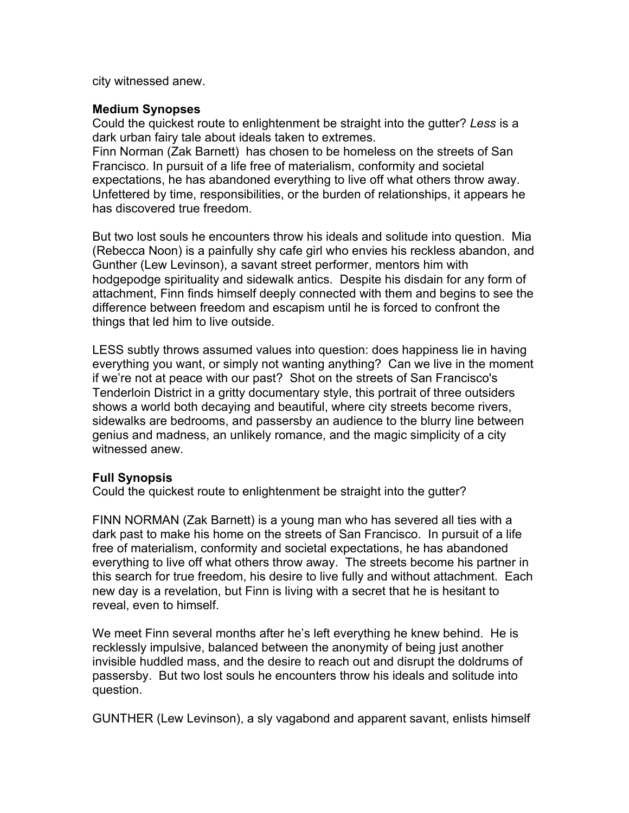city witnessed anew.

### **Medium Synopses**

Could the quickest route to enlightenment be straight into the gutter? *Less* is a dark urban fairy tale about ideals taken to extremes.

Finn Norman (Zak Barnett) has chosen to be homeless on the streets of San Francisco. In pursuit of a life free of materialism, conformity and societal expectations, he has abandoned everything to live off what others throw away. Unfettered by time, responsibilities, or the burden of relationships, it appears he has discovered true freedom.

But two lost souls he encounters throw his ideals and solitude into question. Mia (Rebecca Noon) is a painfully shy cafe girl who envies his reckless abandon, and Gunther (Lew Levinson), a savant street performer, mentors him with hodgepodge spirituality and sidewalk antics. Despite his disdain for any form of attachment, Finn finds himself deeply connected with them and begins to see the difference between freedom and escapism until he is forced to confront the things that led him to live outside.

LESS subtly throws assumed values into question: does happiness lie in having everything you want, or simply not wanting anything? Can we live in the moment if we're not at peace with our past? Shot on the streets of San Francisco's Tenderloin District in a gritty documentary style, this portrait of three outsiders shows a world both decaying and beautiful, where city streets become rivers, sidewalks are bedrooms, and passersby an audience to the blurry line between genius and madness, an unlikely romance, and the magic simplicity of a city witnessed anew.

# **Full Synopsis**

Could the quickest route to enlightenment be straight into the gutter?

FINN NORMAN (Zak Barnett) is a young man who has severed all ties with a dark past to make his home on the streets of San Francisco. In pursuit of a life free of materialism, conformity and societal expectations, he has abandoned everything to live off what others throw away. The streets become his partner in this search for true freedom, his desire to live fully and without attachment. Each new day is a revelation, but Finn is living with a secret that he is hesitant to reveal, even to himself.

We meet Finn several months after he's left everything he knew behind. He is recklessly impulsive, balanced between the anonymity of being just another invisible huddled mass, and the desire to reach out and disrupt the doldrums of passersby. But two lost souls he encounters throw his ideals and solitude into question.

GUNTHER (Lew Levinson), a sly vagabond and apparent savant, enlists himself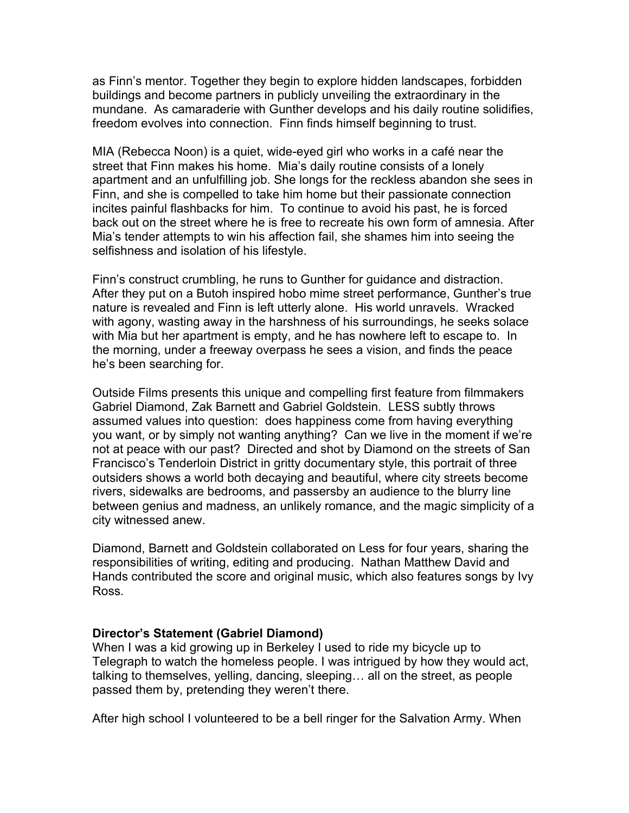as Finn's mentor. Together they begin to explore hidden landscapes, forbidden buildings and become partners in publicly unveiling the extraordinary in the mundane. As camaraderie with Gunther develops and his daily routine solidifies, freedom evolves into connection. Finn finds himself beginning to trust.

MIA (Rebecca Noon) is a quiet, wide-eyed girl who works in a café near the street that Finn makes his home. Mia's daily routine consists of a lonely apartment and an unfulfilling job. She longs for the reckless abandon she sees in Finn, and she is compelled to take him home but their passionate connection incites painful flashbacks for him. To continue to avoid his past, he is forced back out on the street where he is free to recreate his own form of amnesia. After Mia's tender attempts to win his affection fail, she shames him into seeing the selfishness and isolation of his lifestyle.

Finn's construct crumbling, he runs to Gunther for guidance and distraction. After they put on a Butoh inspired hobo mime street performance, Gunther's true nature is revealed and Finn is left utterly alone. His world unravels. Wracked with agony, wasting away in the harshness of his surroundings, he seeks solace with Mia but her apartment is empty, and he has nowhere left to escape to. In the morning, under a freeway overpass he sees a vision, and finds the peace he's been searching for.

Outside Films presents this unique and compelling first feature from filmmakers Gabriel Diamond, Zak Barnett and Gabriel Goldstein. LESS subtly throws assumed values into question: does happiness come from having everything you want, or by simply not wanting anything? Can we live in the moment if we're not at peace with our past? Directed and shot by Diamond on the streets of San Francisco's Tenderloin District in gritty documentary style, this portrait of three outsiders shows a world both decaying and beautiful, where city streets become rivers, sidewalks are bedrooms, and passersby an audience to the blurry line between genius and madness, an unlikely romance, and the magic simplicity of a city witnessed anew.

Diamond, Barnett and Goldstein collaborated on Less for four years, sharing the responsibilities of writing, editing and producing. Nathan Matthew David and Hands contributed the score and original music, which also features songs by Ivy Ross.

# **Director's Statement (Gabriel Diamond)**

When I was a kid growing up in Berkeley I used to ride my bicycle up to Telegraph to watch the homeless people. I was intrigued by how they would act, talking to themselves, yelling, dancing, sleeping… all on the street, as people passed them by, pretending they weren't there.

After high school I volunteered to be a bell ringer for the Salvation Army. When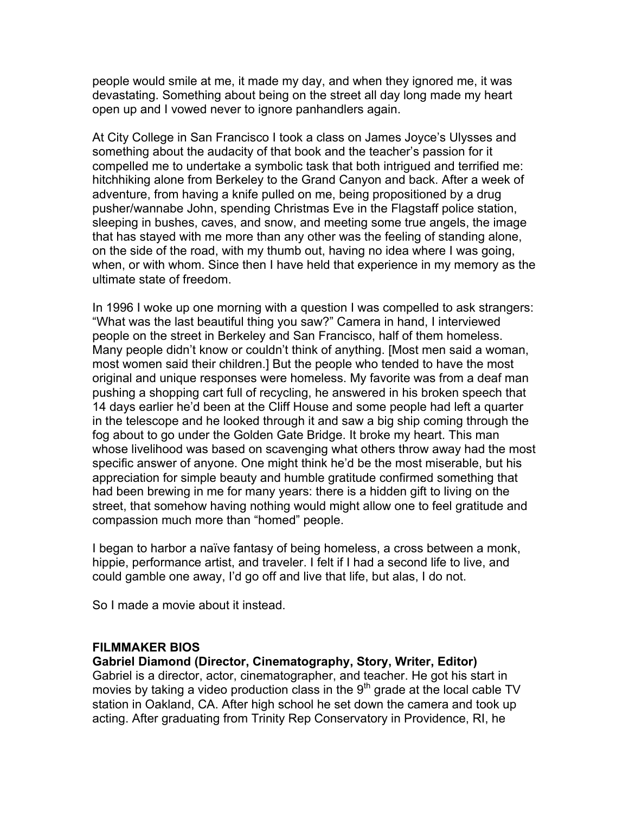people would smile at me, it made my day, and when they ignored me, it was devastating. Something about being on the street all day long made my heart open up and I vowed never to ignore panhandlers again.

At City College in San Francisco I took a class on James Joyce's Ulysses and something about the audacity of that book and the teacher's passion for it compelled me to undertake a symbolic task that both intrigued and terrified me: hitchhiking alone from Berkeley to the Grand Canyon and back. After a week of adventure, from having a knife pulled on me, being propositioned by a drug pusher/wannabe John, spending Christmas Eve in the Flagstaff police station, sleeping in bushes, caves, and snow, and meeting some true angels, the image that has stayed with me more than any other was the feeling of standing alone, on the side of the road, with my thumb out, having no idea where I was going, when, or with whom. Since then I have held that experience in my memory as the ultimate state of freedom.

In 1996 I woke up one morning with a question I was compelled to ask strangers: "What was the last beautiful thing you saw?" Camera in hand, I interviewed people on the street in Berkeley and San Francisco, half of them homeless. Many people didn't know or couldn't think of anything. [Most men said a woman, most women said their children.] But the people who tended to have the most original and unique responses were homeless. My favorite was from a deaf man pushing a shopping cart full of recycling, he answered in his broken speech that 14 days earlier he'd been at the Cliff House and some people had left a quarter in the telescope and he looked through it and saw a big ship coming through the fog about to go under the Golden Gate Bridge. It broke my heart. This man whose livelihood was based on scavenging what others throw away had the most specific answer of anyone. One might think he'd be the most miserable, but his appreciation for simple beauty and humble gratitude confirmed something that had been brewing in me for many years: there is a hidden gift to living on the street, that somehow having nothing would might allow one to feel gratitude and compassion much more than "homed" people.

I began to harbor a naïve fantasy of being homeless, a cross between a monk, hippie, performance artist, and traveler. I felt if I had a second life to live, and could gamble one away, I'd go off and live that life, but alas, I do not.

So I made a movie about it instead.

# **FILMMAKER BIOS**

# **Gabriel Diamond (Director, Cinematography, Story, Writer, Editor)**

Gabriel is a director, actor, cinematographer, and teacher. He got his start in movies by taking a video production class in the  $9<sup>th</sup>$  grade at the local cable TV station in Oakland, CA. After high school he set down the camera and took up acting. After graduating from Trinity Rep Conservatory in Providence, RI, he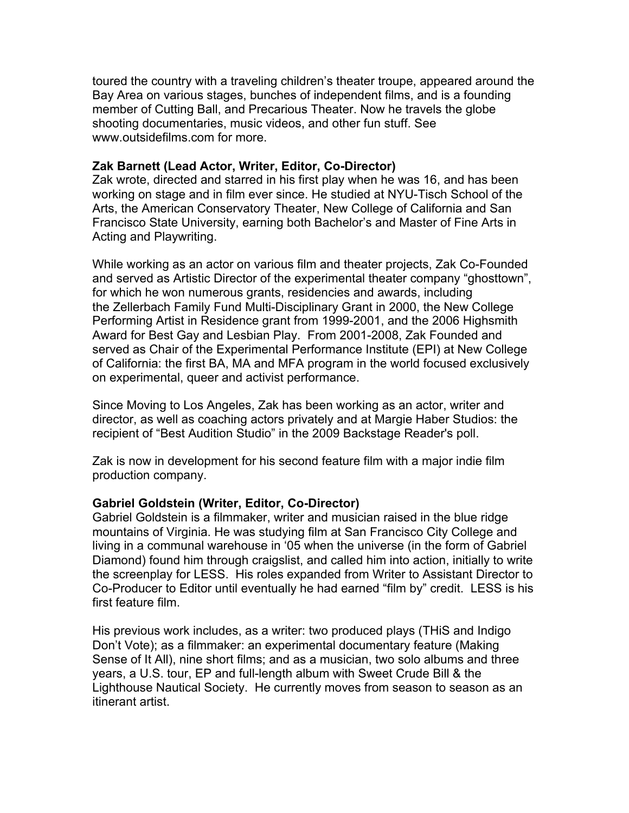toured the country with a traveling children's theater troupe, appeared around the Bay Area on various stages, bunches of independent films, and is a founding member of Cutting Ball, and Precarious Theater. Now he travels the globe shooting documentaries, music videos, and other fun stuff. See www.outsidefilms.com for more.

## **Zak Barnett (Lead Actor, Writer, Editor, Co-Director)**

Zak wrote, directed and starred in his first play when he was 16, and has been working on stage and in film ever since. He studied at NYU-Tisch School of the Arts, the American Conservatory Theater, New College of California and San Francisco State University, earning both Bachelor's and Master of Fine Arts in Acting and Playwriting.

While working as an actor on various film and theater projects, Zak Co-Founded and served as Artistic Director of the experimental theater company "ghosttown", for which he won numerous grants, residencies and awards, including the Zellerbach Family Fund Multi-Disciplinary Grant in 2000, the New College Performing Artist in Residence grant from 1999-2001, and the 2006 Highsmith Award for Best Gay and Lesbian Play. From 2001-2008, Zak Founded and served as Chair of the Experimental Performance Institute (EPI) at New College of California: the first BA, MA and MFA program in the world focused exclusively on experimental, queer and activist performance.

Since Moving to Los Angeles, Zak has been working as an actor, writer and director, as well as coaching actors privately and at Margie Haber Studios: the recipient of "Best Audition Studio" in the 2009 Backstage Reader's poll.

Zak is now in development for his second feature film with a major indie film production company.

# **Gabriel Goldstein (Writer, Editor, Co-Director)**

Gabriel Goldstein is a filmmaker, writer and musician raised in the blue ridge mountains of Virginia. He was studying film at San Francisco City College and living in a communal warehouse in '05 when the universe (in the form of Gabriel Diamond) found him through craigslist, and called him into action, initially to write the screenplay for LESS. His roles expanded from Writer to Assistant Director to Co-Producer to Editor until eventually he had earned "film by" credit. LESS is his first feature film.

His previous work includes, as a writer: two produced plays (THiS and Indigo Don't Vote); as a filmmaker: an experimental documentary feature (Making Sense of It All), nine short films; and as a musician, two solo albums and three years, a U.S. tour, EP and full-length album with Sweet Crude Bill & the Lighthouse Nautical Society. He currently moves from season to season as an itinerant artist.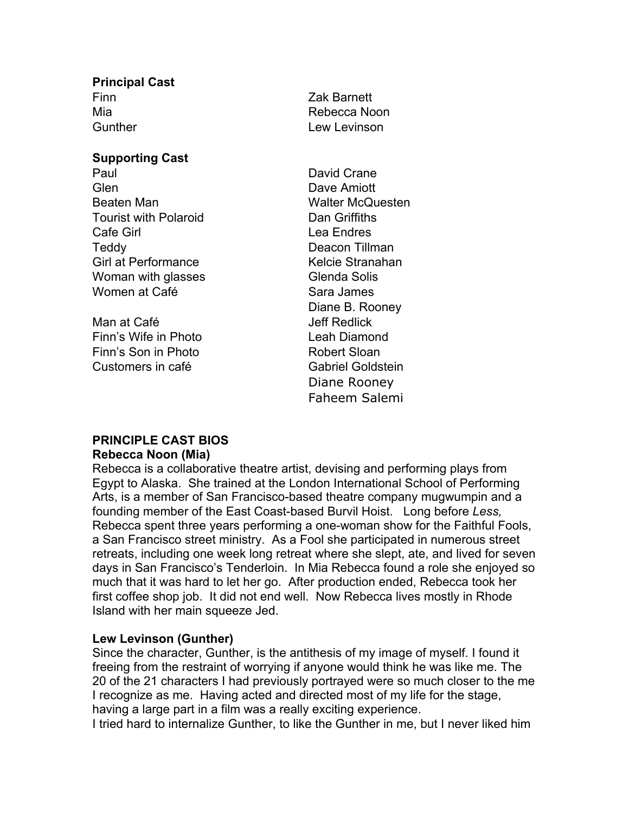# **Principal Cast**

### **Supporting Cast**

Paul David Crane Glen Dave Amiott Beaten Man Walter McQuesten Tourist with Polaroid **Dan Griffiths** Cafe Girl **Cafe Community** Lea Endres Teddy Deacon Tillman Girl at Performance **Kelcie Stranahan** Woman with glasses Glenda Solis Women at Café **Sara James** Sara James

Man at Café **Jeff Redlick** Finn's Wife in Photo **Leah Diamond** Finn's Son in Photo Robert Sloan Customers in café Gabriel Goldstein

Finn Zak Barnett Mia **Mia Rebecca** Noon Gunther **Lew Lew Lewinson** 

> Diane B. Rooney Diane Rooney Faheem Salemi

#### **PRINCIPLE CAST BIOS Rebecca Noon (Mia)**

Rebecca is a collaborative theatre artist, devising and performing plays from Egypt to Alaska. She trained at the London International School of Performing Arts, is a member of San Francisco-based theatre company mugwumpin and a founding member of the East Coast-based Burvil Hoist. Long before *Less,* Rebecca spent three years performing a one-woman show for the Faithful Fools, a San Francisco street ministry. As a Fool she participated in numerous street retreats, including one week long retreat where she slept, ate, and lived for seven days in San Francisco's Tenderloin. In Mia Rebecca found a role she enjoyed so much that it was hard to let her go. After production ended, Rebecca took her first coffee shop job. It did not end well. Now Rebecca lives mostly in Rhode Island with her main squeeze Jed.

# **Lew Levinson (Gunther)**

Since the character, Gunther, is the antithesis of my image of myself. I found it freeing from the restraint of worrying if anyone would think he was like me. The 20 of the 21 characters I had previously portrayed were so much closer to the me I recognize as me. Having acted and directed most of my life for the stage, having a large part in a film was a really exciting experience.

I tried hard to internalize Gunther, to like the Gunther in me, but I never liked him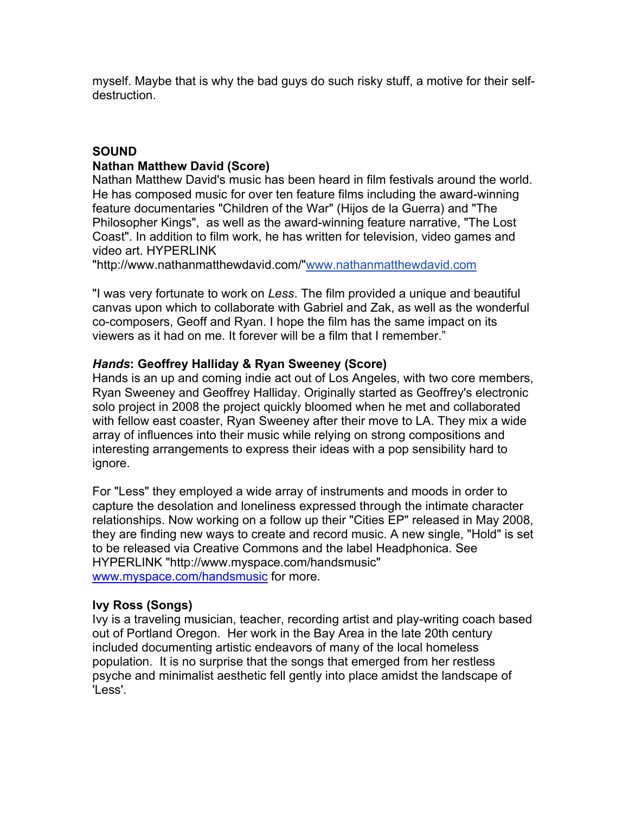myself. Maybe that is why the bad guys do such risky stuff, a motive for their selfdestruction.

# **SOUND Nathan Matthew David (Score)**

Nathan Matthew David's music has been heard in film festivals around the world. He has composed music for over ten feature films including the award-winning feature documentaries "Children of the War" (Hijos de la Guerra) and "The Philosopher Kings", as well as the award-winning feature narrative, "The Lost Coast". In addition to film work, he has written for television, video games and video art. HYPERLINK

"http://www.nathanmatthewdavid.com/"www.nathanmatthewdavid.com

"I was very fortunate to work on *Less*. The film provided a unique and beautiful canvas upon which to collaborate with Gabriel and Zak, as well as the wonderful co-composers, Geoff and Ryan. I hope the film has the same impact on its viewers as it had on me. It forever will be a film that I remember."

# *Hands***: Geoffrey Halliday & Ryan Sweeney (Score)**

Hands is an up and coming indie act out of Los Angeles, with two core members, Ryan Sweeney and Geoffrey Halliday. Originally started as Geoffrey's electronic solo project in 2008 the project quickly bloomed when he met and collaborated with fellow east coaster, Ryan Sweeney after their move to LA. They mix a wide array of influences into their music while relying on strong compositions and interesting arrangements to express their ideas with a pop sensibility hard to ignore.

For "Less" they employed a wide array of instruments and moods in order to capture the desolation and loneliness expressed through the intimate character relationships. Now working on a follow up their "Cities EP" released in May 2008, they are finding new ways to create and record music. A new single, "Hold" is set to be released via Creative Commons and the label Headphonica. See HYPERLINK "http://www.myspace.com/handsmusic" www.myspace.com/handsmusic for more.

# **Ivy Ross (Songs)**

Ivy is a traveling musician, teacher, recording artist and play-writing coach based out of Portland Oregon. Her work in the Bay Area in the late 20th century included documenting artistic endeavors of many of the local homeless population. It is no surprise that the songs that emerged from her restless psyche and minimalist aesthetic fell gently into place amidst the landscape of 'Less'.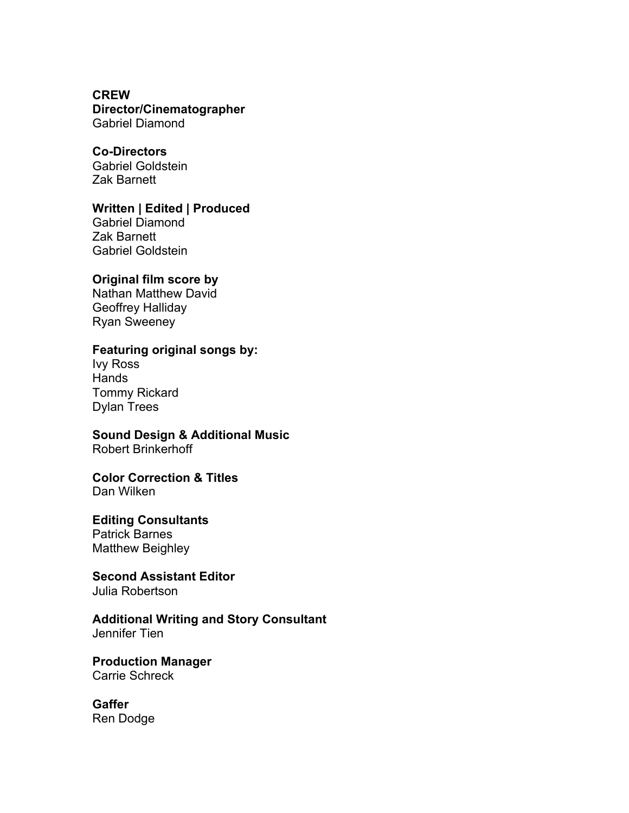## **CREW**

#### **Director/Cinematographer** Gabriel Diamond

### **Co-Directors**

Gabriel Goldstein Zak Barnett

# **Written | Edited | Produced**

Gabriel Diamond Zak Barnett Gabriel Goldstein

#### **Original film score by**

Nathan Matthew David Geoffrey Halliday Ryan Sweeney

## **Featuring original songs by:**

Ivy Ross Hands Tommy Rickard Dylan Trees

# **Sound Design & Additional Music**

Robert Brinkerhoff

#### **Color Correction & Titles** Dan Wilken

#### **Editing Consultants**

Patrick Barnes Matthew Beighley

# **Second Assistant Editor**

Julia Robertson

#### **Additional Writing and Story Consultant** Jennifer Tien

**Production Manager** Carrie Schreck

# **Gaffer**

Ren Dodge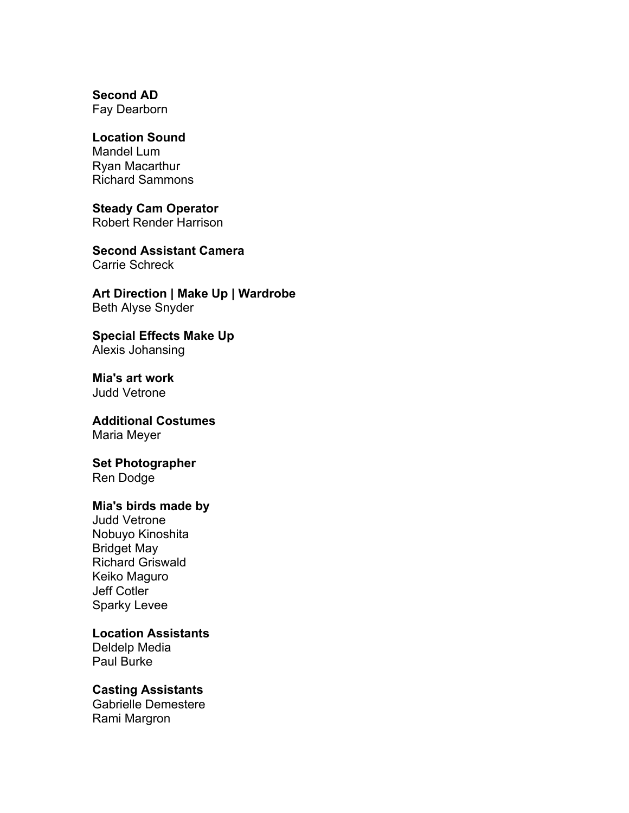**Second AD**

Fay Dearborn

# **Location Sound**

Mandel Lum Ryan Macarthur Richard Sammons

#### **Steady Cam Operator** Robert Render Harrison

**Second Assistant Camera** Carrie Schreck

**Art Direction | Make Up | Wardrobe** Beth Alyse Snyder

**Special Effects Make Up** Alexis Johansing

**Mia's art work** Judd Vetrone

**Additional Costumes** Maria Meyer

**Set Photographer** Ren Dodge

#### **Mia's birds made by**

Judd Vetrone Nobuyo Kinoshita Bridget May Richard Griswald Keiko Maguro Jeff Cotler Sparky Levee

# **Location Assistants**

Deldelp Media Paul Burke

# **Casting Assistants**

Gabrielle Demestere Rami Margron